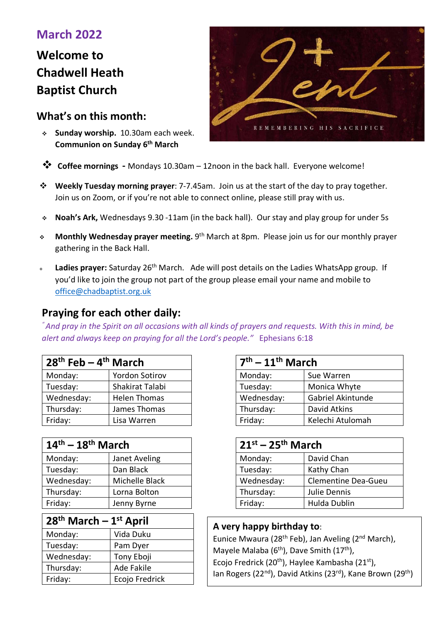## **March 2022**

# **Welcome to Chadwell Heath Baptist Church**

## **What's on this month:**

 **Sunday worship.** 10.30am each week. **Communion on Sunday 6th March**



- **Coffee mornings** Mondays 10.30am 12noon in the back hall. Everyone welcome!
- **Weekly Tuesday morning prayer**: 7-7.45am. Join us at the start of the day to pray together. Join us on Zoom, or if you're not able to connect online, please still pray with us.
- **Noah's Ark,** Wednesdays 9.30 -11am (in the back hall). Our stay and play group for under 5s
- **Monthly Wednesday prayer meeting.** 9th March at 8pm. Please join us for our monthly prayer gathering in the Back Hall.
- Ladies prayer: Saturday 26<sup>th</sup> March. Ade will post details on the Ladies WhatsApp group. If you'd like to join the group not part of the group please email your name and mobile to office@chadbaptist.org.uk

## **Praying for each other daily:**

*" And pray in the Spirit on all occasions with all kinds of prayers and requests. With this in mind, be alert and always keep on praying for all the Lord's people."* Ephesians 6:18

| $28th$ Feb – 4 <sup>th</sup> March |                       | $7th - 11th$ March |                   |
|------------------------------------|-----------------------|--------------------|-------------------|
| Monday:                            | <b>Yordon Sotirov</b> | Monday:            | Sue Warren        |
| Tuesday:                           | Shakirat Talabi       | Tuesday:           | Monica Whyte      |
| Wednesday:                         | <b>Helen Thomas</b>   | Wednesday:         | Gabriel Akintunde |
| Thursday:                          | James Thomas          | Thursday:          | David Atkins      |
| Friday:                            | Lisa Warren           | Friday:            | Kelechi Atulomah  |

| $14th - 18th$ March |                |            | $21^{st}$ – 25 <sup>th</sup> March |  |
|---------------------|----------------|------------|------------------------------------|--|
| Monday:             | Janet Aveling  | Monday:    | David Chan                         |  |
| Tuesday:            | Dan Black      | Tuesday:   | Kathy Chan                         |  |
| Wednesday:          | Michelle Black | Wednesday: | Clementine D                       |  |
| Thursday:           | Lorna Bolton   | Thursday:  | Julie Dennis                       |  |
| Friday:             | Jenny Byrne    | Friday:    | Hulda Dublin                       |  |

| $28th$ March - $1st$ April |                |  |  |  |
|----------------------------|----------------|--|--|--|
| Monday:                    | Vida Duku      |  |  |  |
| Tuesday:                   | Pam Dyer       |  |  |  |
| Wednesday:                 | Tony Eboji     |  |  |  |
| Thursday:                  | Ade Fakile     |  |  |  |
| Friday:                    | Ecojo Fredrick |  |  |  |

| $7th - 11th$ March |                   |  |
|--------------------|-------------------|--|
| Monday:            | Sue Warren        |  |
| Tuesday:           | Monica Whyte      |  |
| Wednesday:         | Gabriel Akintunde |  |
| Thursday:          | David Atkins      |  |
| Friday:            | Kelechi Atulomah  |  |

| $14^{\text{th}} - 18^{\text{th}}$ March |                |            | $21^{st}$ – 25 <sup>th</sup> March |  |
|-----------------------------------------|----------------|------------|------------------------------------|--|
| Monday:                                 | Janet Aveling  | Monday:    | David Chan                         |  |
| Tuesday:                                | Dan Black      | Tuesday:   | Kathy Chan                         |  |
| Wednesday:                              | Michelle Black | Wednesday: | <b>Clementine Dea-Gueu</b>         |  |
| Thursday:                               | Lorna Bolton   | Thursday:  | Julie Dennis                       |  |
| Friday:                                 | Jenny Byrne    | Friday:    | Hulda Dublin                       |  |

#### **A very happy birthday to**:

Eunice Mwaura (28th Feb), Jan Aveling (2nd March), Mayele Malaba ( $6<sup>th</sup>$ ), Dave Smith (17<sup>th</sup>), Ecojo Fredrick (20<sup>th</sup>), Haylee Kambasha (21<sup>st</sup>), Ian Rogers (22<sup>nd</sup>), David Atkins (23<sup>rd</sup>), Kane Brown (29<sup>th</sup>)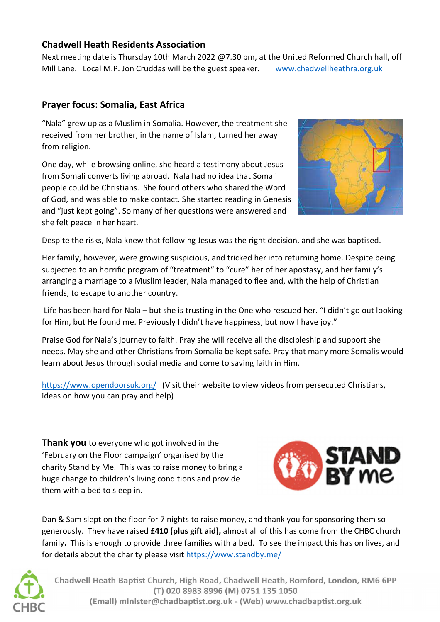## **Chadwell Heath Residents Association**

Next meeting date is Thursday 10th March 2022 @7.30 pm, at the United Reformed Church hall, off Mill Lane.Local M.P. Jon Cruddas will be the guest speaker. www.chadwellheathra.org.uk

### **Prayer focus: Somalia, East Africa**

"Nala" grew up as a Muslim in Somalia. However, the treatment she received from her brother, in the name of Islam, turned her away from religion.

One day, while browsing online, she heard a testimony about Jesus from Somali converts living abroad. Nala had no idea that Somali people could be Christians. She found others who shared the Word of God, and was able to make contact. She started reading in Genesis and "just kept going". So many of her questions were answered and she felt peace in her heart.



Despite the risks, Nala knew that following Jesus was the right decision, and she was baptised.

Her family, however, were growing suspicious, and tricked her into returning home. Despite being subjected to an horrific program of "treatment" to "cure" her of her apostasy, and her family's arranging a marriage to a Muslim leader, Nala managed to flee and, with the help of Christian friends, to escape to another country.

 Life has been hard for Nala – but she is trusting in the One who rescued her. "I didn't go out looking for Him, but He found me. Previously I didn't have happiness, but now I have joy."

Praise God for Nala's journey to faith. Pray she will receive all the discipleship and support she needs. May she and other Christians from Somalia be kept safe. Pray that many more Somalis would learn about Jesus through social media and come to saving faith in Him.

https://www.opendoorsuk.org/ (Visit their website to view videos from persecuted Christians, ideas on how you can pray and help)

**Thank you** to everyone who got involved in the 'February on the Floor campaign' organised by the charity Stand by Me. This was to raise money to bring a huge change to children's living conditions and provide them with a bed to sleep in.



Dan & Sam slept on the floor for 7 nights to raise money, and thank you for sponsoring them so generously. They have raised **£410 (plus gift aid),** almost all of this has come from the CHBC church family**.** This is enough to provide three families with a bed. To see the impact this has on lives, and for details about the charity please visit https://www.standby.me/



Chadwell Heath Baptist Church, High Road, Chadwell Heath, Romford, London, RM6 6PP (T) 020 8983 8996 (M) 0751 135 1050 (Email) minister@chadbaptist.org.uk - (Web) www.chadbaptist.org.uk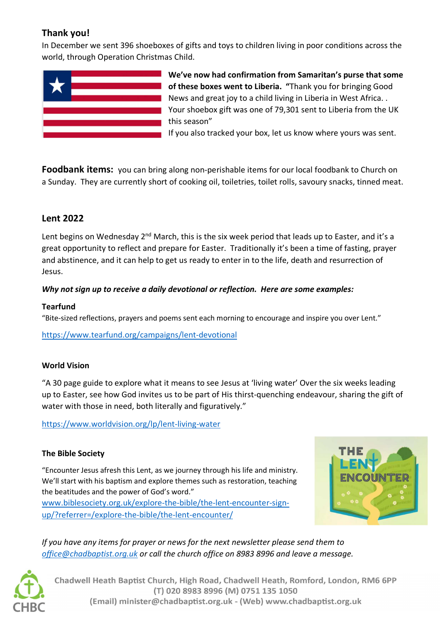## **Thank you!**

In December we sent 396 shoeboxes of gifts and toys to children living in poor conditions across the world, through Operation Christmas Child.



**Foodbank items:** you can bring along non-perishable items for our local foodbank to Church on a Sunday. They are currently short of cooking oil, toiletries, toilet rolls, savoury snacks, tinned meat.

## **Lent 2022**

Lent begins on Wednesday 2<sup>nd</sup> March, this is the six week period that leads up to Easter, and it's a great opportunity to reflect and prepare for Easter. Traditionally it's been a time of fasting, prayer and abstinence, and it can help to get us ready to enter in to the life, death and resurrection of Jesus.

#### *Why not sign up to receive a daily devotional or reflection. Here are some examples:*

#### **Tearfund**

"Bite-sized reflections, prayers and poems sent each morning to encourage and inspire you over Lent."

https://www.tearfund.org/campaigns/lent-devotional

#### **World Vision**

"A 30 page guide to explore what it means to see Jesus at 'living water' Over the six weeks leading up to Easter, see how God invites us to be part of His thirst-quenching endeavour, sharing the gift of water with those in need, both literally and figuratively."

https://www.worldvision.org/lp/lent-living-water

#### **The Bible Society**

"Encounter Jesus afresh this Lent, as we journey through his life and ministry. We'll start with his baptism and explore themes such as restoration, teaching the beatitudes and the power of God's word." www.biblesociety.org.uk/explore-the-bible/the-lent-encounter-signup/?referrer=/explore-the-bible/the-lent-encounter/



*If you have any items for prayer or news for the next newsletter please send them to office@chadbaptist.org.uk or call the church office on 8983 8996 and leave a message.* 



Chadwell Heath Baptist Church, High Road, Chadwell Heath, Romford, London, RM6 6PP (T) 020 8983 8996 (M) 0751 135 1050 (Email) minister@chadbaptist.org.uk - (Web) www.chadbaptist.org.uk